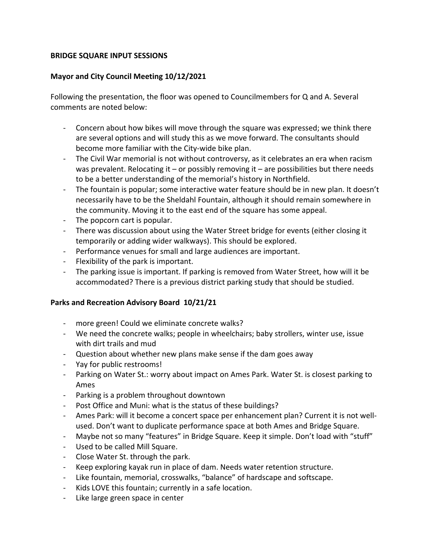### **BRIDGE SQUARE INPUT SESSIONS**

### **Mayor and City Council Meeting 10/12/2021**

Following the presentation, the floor was opened to Councilmembers for Q and A. Several comments are noted below:

- ‐ Concern about how bikes will move through the square was expressed; we think there are several options and will study this as we move forward. The consultants should become more familiar with the City‐wide bike plan.
- ‐ The Civil War memorial is not without controversy, as it celebrates an era when racism was prevalent. Relocating it – or possibly removing it – are possibilities but there needs to be a better understanding of the memorial's history in Northfield.
- ‐ The fountain is popular; some interactive water feature should be in new plan. It doesn't necessarily have to be the Sheldahl Fountain, although it should remain somewhere in the community. Moving it to the east end of the square has some appeal.
- ‐ The popcorn cart is popular.
- ‐ There was discussion about using the Water Street bridge for events (either closing it temporarily or adding wider walkways). This should be explored.
- ‐ Performance venues for small and large audiences are important.
- ‐ Flexibility of the park is important.
- ‐ The parking issue is important. If parking is removed from Water Street, how will it be accommodated? There is a previous district parking study that should be studied.

## **Parks and Recreation Advisory Board 10/21/21**

- ‐ more green! Could we eliminate concrete walks?
- ‐ We need the concrete walks; people in wheelchairs; baby strollers, winter use, issue with dirt trails and mud
- ‐ Question about whether new plans make sense if the dam goes away
- ‐ Yay for public restrooms!
- ‐ Parking on Water St.: worry about impact on Ames Park. Water St. is closest parking to Ames
- ‐ Parking is a problem throughout downtown
- ‐ Post Office and Muni: what is the status of these buildings?
- ‐ Ames Park: will it become a concert space per enhancement plan? Current it is not well‐ used. Don't want to duplicate performance space at both Ames and Bridge Square.
- ‐ Maybe not so many "features" in Bridge Square. Keep it simple. Don't load with "stuff"
- ‐ Used to be called Mill Square.
- ‐ Close Water St. through the park.
- ‐ Keep exploring kayak run in place of dam. Needs water retention structure.
- ‐ Like fountain, memorial, crosswalks, "balance" of hardscape and softscape.
- ‐ Kids LOVE this fountain; currently in a safe location.
- ‐ Like large green space in center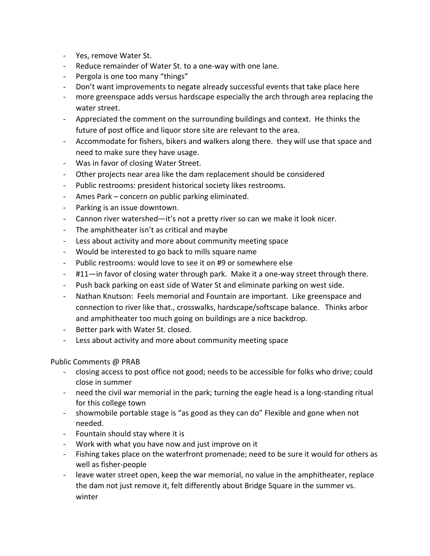- ‐ Yes, remove Water St.
- ‐ Reduce remainder of Water St. to a one‐way with one lane.
- ‐ Pergola is one too many "things"
- ‐ Don't want improvements to negate already successful events that take place here
- ‐ more greenspace adds versus hardscape especially the arch through area replacing the water street.
- ‐ Appreciated the comment on the surrounding buildings and context. He thinks the future of post office and liquor store site are relevant to the area.
- ‐ Accommodate for fishers, bikers and walkers along there. they will use that space and need to make sure they have usage.
- ‐ Was in favor of closing Water Street.
- ‐ Other projects near area like the dam replacement should be considered
- ‐ Public restrooms: president historical society likes restrooms.
- ‐ Ames Park concern on public parking eliminated.
- ‐ Parking is an issue downtown.
- ‐ Cannon river watershed—it's not a pretty river so can we make it look nicer.
- ‐ The amphitheater isn't as critical and maybe
- ‐ Less about activity and more about community meeting space
- ‐ Would be interested to go back to mills square name
- ‐ Public restrooms: would love to see it on #9 or somewhere else
- ‐ #11—in favor of closing water through park. Make it a one‐way street through there.
- ‐ Push back parking on east side of Water St and eliminate parking on west side.
- Nathan Knutson: Feels memorial and Fountain are important. Like greenspace and connection to river like that., crosswalks, hardscape/softscape balance. Thinks arbor and amphitheater too much going on buildings are a nice backdrop.
- Better park with Water St. closed.
- ‐ Less about activity and more about community meeting space

Public Comments @ PRAB

- ‐ closing access to post office not good; needs to be accessible for folks who drive; could close in summer
- ‐ need the civil war memorial in the park; turning the eagle head is a long‐standing ritual for this college town
- ‐ showmobile portable stage is "as good as they can do" Flexible and gone when not needed.
- ‐ Fountain should stay where it is
- ‐ Work with what you have now and just improve on it
- ‐ Fishing takes place on the waterfront promenade; need to be sure it would for others as well as fisher‐people
- ‐ leave water street open, keep the war memorial, no value in the amphitheater, replace the dam not just remove it, felt differently about Bridge Square in the summer vs. winter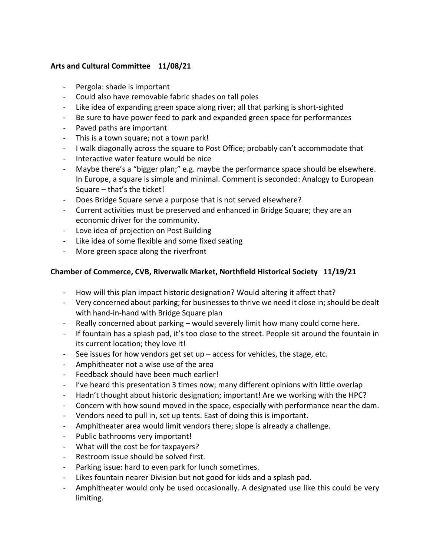## **Arts and Cultural Committee 11/08/21**

- ‐ Pergola: shade is important
- ‐ Could also have removable fabric shades on tall poles
- ‐ Like idea of expanding green space along river; all that parking is short‐sighted
- ‐ Be sure to have power feed to park and expanded green space for performances
- ‐ Paved paths are important
- ‐ This is a town square; not a town park!
- ‐ I walk diagonally across the square to Post Office; probably can't accommodate that
- ‐ Interactive water feature would be nice
- ‐ Maybe there's a "bigger plan;" e.g. maybe the performance space should be elsewhere. In Europe, a square is simple and minimal. Comment is seconded: Analogy to European Square – that's the ticket!
- ‐ Does Bridge Square serve a purpose that is not served elsewhere?
- ‐ Current activities must be preserved and enhanced in Bridge Square; they are an economic driver for the community.
- ‐ Love idea of projection on Post Building
- ‐ Like idea of some flexible and some fixed seating
- ‐ More green space along the riverfront

# **Chamber of Commerce, CVB, Riverwalk Market, Northfield Historical Society 11/19/21**

- ‐ How will this plan impact historic designation? Would altering it affect that?
- ‐ Very concerned about parking; for businessesto thrive we need it close in;should be dealt with hand-in-hand with Bridge Square plan
- ‐ Really concerned about parking would severely limit how many could come here.
- ‐ If fountain has a splash pad, it's too close to the street. People sit around the fountain in its current location; they love it!
- ‐ See issues for how vendors get set up access for vehicles, the stage, etc.
- ‐ Amphitheater not a wise use of the area
- ‐ Feedback should have been much earlier!
- ‐ I've heard this presentation 3 times now; many different opinions with little overlap
- ‐ Hadn't thought about historic designation; important! Are we working with the HPC?
- ‐ Concern with how sound moved in the space, especially with performance near the dam.
- ‐ Vendors need to pull in, set up tents. East of doing this is important.
- ‐ Amphitheater area would limit vendors there; slope is already a challenge.
- ‐ Public bathrooms very important!
- ‐ What will the cost be for taxpayers?
- ‐ Restroom issue should be solved first.
- ‐ Parking issue: hard to even park for lunch sometimes.
- Likes fountain nearer Division but not good for kids and a splash pad.
- ‐ Amphitheater would only be used occasionally. A designated use like this could be very limiting.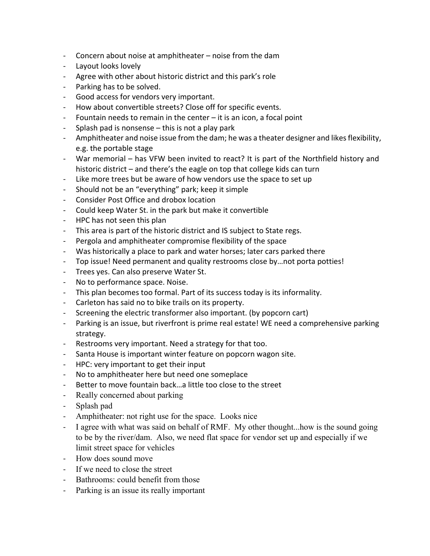- ‐ Concern about noise at amphitheater noise from the dam
- ‐ Layout looks lovely
- ‐ Agree with other about historic district and this park's role
- ‐ Parking has to be solved.
- ‐ Good access for vendors very important.
- ‐ How about convertible streets? Close off for specific events.
- Fountain needs to remain in the center  $-$  it is an icon, a focal point
- ‐ Splash pad is nonsense this is not a play park
- Amphitheater and noise issue from the dam; he was a theater designer and likes flexibility, e.g. the portable stage
- ‐ War memorial has VFW been invited to react? It is part of the Northfield history and historic district – and there's the eagle on top that college kids can turn
- ‐ Like more trees but be aware of how vendors use the space to set up
- ‐ Should not be an "everything" park; keep it simple
- ‐ Consider Post Office and drobox location
- ‐ Could keep Water St. in the park but make it convertible
- ‐ HPC has not seen this plan
- ‐ This area is part of the historic district and IS subject to State regs.
- ‐ Pergola and amphitheater compromise flexibility of the space
- ‐ Was historically a place to park and water horses; later cars parked there
- ‐ Top issue! Need permanent and quality restrooms close by…not porta potties!
- ‐ Trees yes. Can also preserve Water St.
- ‐ No to performance space. Noise.
- ‐ This plan becomes too formal. Part of its success today is its informality.
- ‐ Carleton has said no to bike trails on its property.
- ‐ Screening the electric transformer also important. (by popcorn cart)
- ‐ Parking is an issue, but riverfront is prime real estate! WE need a comprehensive parking strategy.
- ‐ Restrooms very important. Need a strategy for that too.
- ‐ Santa House is important winter feature on popcorn wagon site.
- ‐ HPC: very important to get their input
- ‐ No to amphitheater here but need one someplace
- ‐ Better to move fountain back…a little too close to the street
- ‐ Really concerned about parking
- ‐ Splash pad
- ‐ Amphitheater: not right use for the space. Looks nice
- ‐ I agree with what was said on behalf of RMF. My other thought...how is the sound going to be by the river/dam. Also, we need flat space for vendor set up and especially if we limit street space for vehicles
- ‐ How does sound move
- ‐ If we need to close the street
- ‐ Bathrooms: could benefit from those
- ‐ Parking is an issue its really important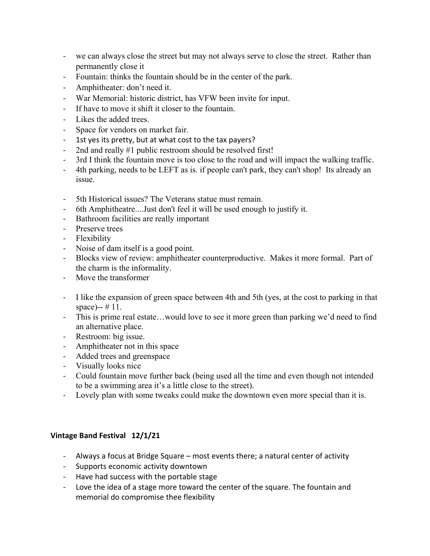- ‐ we can always close the street but may not always serve to close the street. Rather than permanently close it
- ‐ Fountain: thinks the fountain should be in the center of the park.
- ‐ Amphitheater: don't need it.
- ‐ War Memorial: historic district, has VFW been invite for input.
- ‐ If have to move it shift it closer to the fountain.
- ‐ Likes the added trees.
- ‐ Space for vendors on market fair.
- 1st yes its pretty, but at what cost to the tax payers?
- 2nd and really #1 public restroom should be resolved first!
- ‐ 3rd I think the fountain move is too close to the road and will impact the walking traffic.
- ‐ 4th parking, needs to be LEFT as is. if people can't park, they can't shop! Its already an issue.
- ‐ 5th Historical issues? The Veterans statue must remain.
- ‐ 6th Amphitheatre....Just don't feel it will be used enough to justify it.
- ‐ Bathroom facilities are really important
- ‐ Preserve trees
- ‐ Flexibility
- ‐ Noise of dam itself is a good point.
- ‐ Blocks view of review: amphitheater counterproductive. Makes it more formal. Part of the charm is the informality.
- ‐ Move the transformer
- ‐ I like the expansion of green space between 4th and 5th (yes, at the cost to parking in that space)-- # 11.
- ‐ This is prime real estate…would love to see it more green than parking we'd need to find an alternative place.
- ‐ Restroom: big issue.
- ‐ Amphitheater not in this space
- ‐ Added trees and greenspace
- ‐ Visually looks nice
- ‐ Could fountain move further back (being used all the time and even though not intended to be a swimming area it's a little close to the street).
- ‐ Lovely plan with some tweaks could make the downtown even more special than it is.

## **Vintage Band Festival 12/1/21**

- ‐ Always a focus at Bridge Square most events there; a natural center of activity
- ‐ Supports economic activity downtown
- ‐ Have had success with the portable stage
- ‐ Love the idea of a stage more toward the center of the square. The fountain and memorial do compromise thee flexibility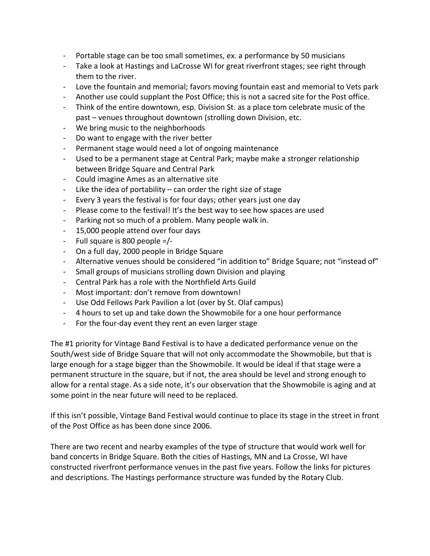- ‐ Portable stage can be too small sometimes, ex. a performance by 50 musicians
- ‐ Take a look at Hastings and LaCrosse WI for great riverfront stages; see right through them to the river.
- ‐ Love the fountain and memorial; favors moving fountain east and memorial to Vets park
- ‐ Another use could supplant the Post Office; this is not a sacred site for the Post office.
- ‐ Think of the entire downtown, esp. Division St. as a place tom celebrate music of the past – venues throughout downtown (strolling down Division, etc.
- ‐ We bring music to the neighborhoods
- ‐ Do want to engage with the river better
- ‐ Permanent stage would need a lot of ongoing maintenance
- ‐ Used to be a permanent stage at Central Park; maybe make a stronger relationship between Bridge Square and Central Park
- ‐ Could imagine Ames as an alternative site
- Like the idea of portability  $-$  can order the right size of stage
- ‐ Every 3 years the festival is for four days; other years just one day
- ‐ Please come to the festival! It's the best way to see how spaces are used
- ‐ Parking not so much of a problem. Many people walk in.
- ‐ 15,000 people attend over four days
- ‐ Full square is 800 people =/‐
- ‐ On a full day, 2000 people in Bridge Square
- ‐ Alternative venues should be considered "in addition to" Bridge Square; not "instead of"
- ‐ Small groups of musicians strolling down Division and playing
- ‐ Central Park has a role with the Northfield Arts Guild
- ‐ Most important: don't remove from downtown!
- ‐ Use Odd Fellows Park Pavilion a lot (over by St. Olaf campus)
- ‐ 4 hours to set up and take down the Showmobile for a one hour performance
- ‐ For the four‐day event they rent an even larger stage

The #1 priority for Vintage Band Festival is to have a dedicated performance venue on the South/west side of Bridge Square that will not only accommodate the Showmobile, but that is large enough for a stage bigger than the Showmobile. It would be ideal if that stage were a permanent structure in the square, but if not, the area should be level and strong enough to allow for a rental stage. As a side note, it's our observation that the Showmobile is aging and at some point in the near future will need to be replaced.

If this isn't possible, Vintage Band Festival would continue to place its stage in the street in front of the Post Office as has been done since 2006.

There are two recent and nearby examples of the type of structure that would work well for band concerts in Bridge Square. Both the cities of Hastings, MN and La Crosse, WI have constructed riverfront performance venues in the past five years. Follow the links for pictures and descriptions. The Hastings performance structure was funded by the Rotary Club.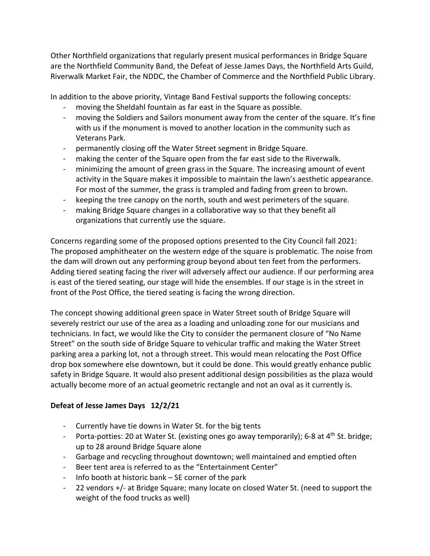Other Northfield organizations that regularly present musical performances in Bridge Square are the Northfield Community Band, the Defeat of Jesse James Days, the Northfield Arts Guild, Riverwalk Market Fair, the NDDC, the Chamber of Commerce and the Northfield Public Library.

In addition to the above priority, Vintage Band Festival supports the following concepts:

- ‐ moving the Sheldahl fountain as far east in the Square as possible.
- moving the Soldiers and Sailors monument away from the center of the square. It's fine with us if the monument is moved to another location in the community such as Veterans Park.
- ‐ permanently closing off the Water Street segment in Bridge Square.
- making the center of the Square open from the far east side to the Riverwalk.
- ‐ minimizing the amount of green grass in the Square. The increasing amount of event activity in the Square makes it impossible to maintain the lawn's aesthetic appearance. For most of the summer, the grass is trampled and fading from green to brown.
- ‐ keeping the tree canopy on the north, south and west perimeters of the square.
- ‐ making Bridge Square changes in a collaborative way so that they benefit all organizations that currently use the square.

Concerns regarding some of the proposed options presented to the City Council fall 2021: The proposed amphitheater on the western edge of the square is problematic. The noise from the dam will drown out any performing group beyond about ten feet from the performers. Adding tiered seating facing the river will adversely affect our audience. If our performing area is east of the tiered seating, our stage will hide the ensembles. If our stage is in the street in front of the Post Office, the tiered seating is facing the wrong direction.

The concept showing additional green space in Water Street south of Bridge Square will severely restrict our use of the area as a loading and unloading zone for our musicians and technicians. In fact, we would like the City to consider the permanent closure of "No Name Street" on the south side of Bridge Square to vehicular traffic and making the Water Street parking area a parking lot, not a through street. This would mean relocating the Post Office drop box somewhere else downtown, but it could be done. This would greatly enhance public safety in Bridge Square. It would also present additional design possibilities as the plaza would actually become more of an actual geometric rectangle and not an oval as it currently is.

# **Defeat of Jesse James Days 12/2/21**

- ‐ Currently have tie downs in Water St. for the big tents
- Porta-potties: 20 at Water St. (existing ones go away temporarily); 6-8 at 4<sup>th</sup> St. bridge; up to 28 around Bridge Square alone
- ‐ Garbage and recycling throughout downtown; well maintained and emptied often
- ‐ Beer tent area is referred to as the "Entertainment Center"
- Info booth at historic bank  $-$  SE corner of the park
- ‐ 22 vendors +/‐ at Bridge Square; many locate on closed Water St. (need to support the weight of the food trucks as well)